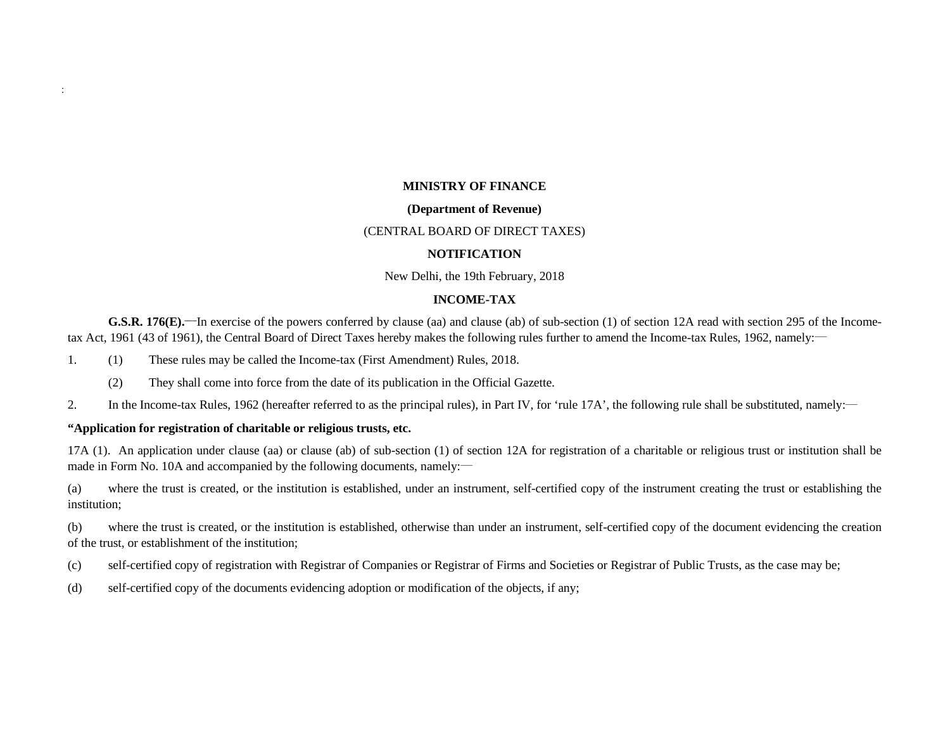## **MINISTRY OF FINANCE**

#### **(Department of Revenue)**

#### (CENTRAL BOARD OF DIRECT TAXES)

#### **NOTIFICATION**

New Delhi, the 19th February, 2018

# **INCOME-TAX**

**G.S.R. 176(E).** In exercise of the powers conferred by clause (aa) and clause (ab) of sub-section (1) of section 12A read with section 295 of the Incometax Act, 1961 (43 of 1961), the Central Board of Direct Taxes hereby makes the following rules further to amend the Income-tax Rules, 1962, namely:

1. (1) These rules may be called the Income-tax (First Amendment) Rules, 2018.

(2) They shall come into force from the date of its publication in the Official Gazette.

2. In the Income-tax Rules, 1962 (hereafter referred to as the principal rules), in Part IV, for 'rule 17A', the following rule shall be substituted, namely:—

#### **"Application for registration of charitable or religious trusts, etc.**

 $\ddot{\cdot}$ 

17A (1). An application under clause (aa) or clause (ab) of sub-section (1) of section 12A for registration of a charitable or religious trust or institution shall be made in Form No. 10A and accompanied by the following documents, namely:

(a) where the trust is created, or the institution is established, under an instrument, self-certified copy of the instrument creating the trust or establishing the institution;

(b) where the trust is created, or the institution is established, otherwise than under an instrument, self-certified copy of the document evidencing the creation of the trust, or establishment of the institution;

- (c) self-certified copy of registration with Registrar of Companies or Registrar of Firms and Societies or Registrar of Public Trusts, as the case may be;
- (d) self-certified copy of the documents evidencing adoption or modification of the objects, if any;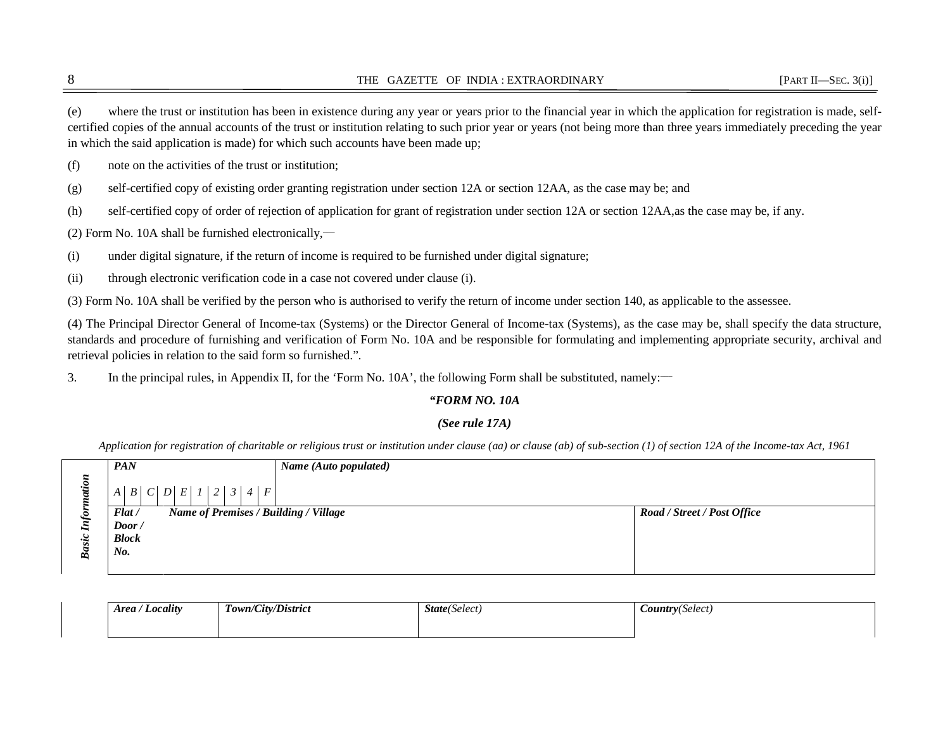(e) where the trust or institution has been in existence during any year or years prior to the financial year in which the application for registration is made, selfcertified copies of the annual accounts of the trust or institution relating to such prior year or years (not being more than three years immediately preceding the year in which the said application is made) for which such accounts have been made up;

(f) note on the activities of the trust or institution;

(g) self-certified copy of existing order granting registration under section 12A or section 12AA, as the case may be; and

(h) self-certified copy of order of rejection of application for grant of registration under section 12A or section 12AA,as the case may be, if any.

(2) Form No. 10A shall be furnished electronically,—

(i) under digital signature, if the return of income is required to be furnished under digital signature;

(ii) through electronic verification code in a case not covered under clause (i).

(3) Form No. 10A shall be verified by the person who is authorised to verify the return of income under section 140, as applicable to the assessee.

(4) The Principal Director General of Income-tax (Systems) or the Director General of Income-tax (Systems), as the case may be, shall specify the data structure, standards and procedure of furnishing and verification of Form No. 10A and be responsible for formulating and implementing appropriate security, archival and retrieval policies in relation to the said form so furnished.".

3. In the principal rules, in Appendix II, for the 'Form No. 10A', the following Form shall be substituted, namely:

# *"FORM NO. 10A*

# *(See rule 17A)*

*Application for registration of charitable or religious trust or institution under clause (aa) or clause (ab) of sub-section (1) of section 12A of the Income-tax Act, 1961* 

|    | <b>PAN</b>                                     | Name (Auto populated) |                             |
|----|------------------------------------------------|-----------------------|-----------------------------|
|    | A   B   C   D   E   1   2   3   4   F          |                       |                             |
|    | Flat/<br>Name of Premises / Building / Village |                       | Road / Street / Post Office |
|    | $\boldsymbol{Door}$ /                          |                       |                             |
| S. | <b>Block</b>                                   |                       |                             |
| ๛  | $No$ .                                         |                       |                             |
|    |                                                |                       |                             |

| Locality<br>Area / | Town/City/District | <b>State</b> (Select) | <b>Country</b> (Select) |  |  |  |
|--------------------|--------------------|-----------------------|-------------------------|--|--|--|
|                    |                    |                       |                         |  |  |  |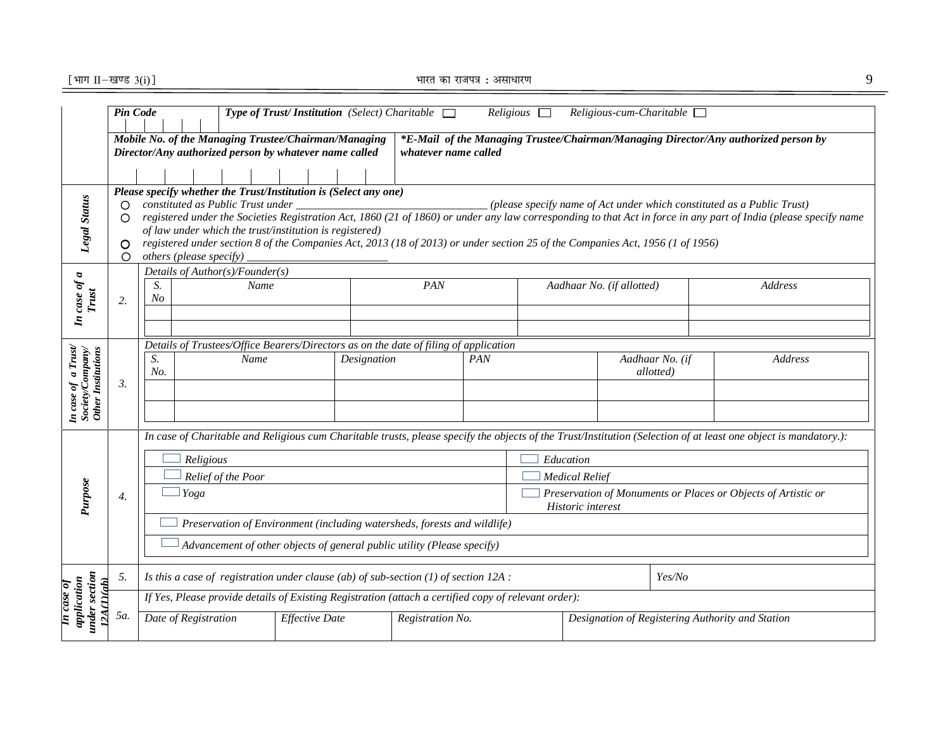$\lbrack$  भाग  $\rm{II}$ —खण्ड 3(i) ]  $\rm{I}$  and  $\rm{I}$  and  $\rm{I}$  and  $\rm{I}$  and  $\rm{I}$  and  $\rm{I}$  and  $\rm{I}$  and  $\rm{I}$  and  $\rm{I}$  and  $\rm{I}$  and  $\rm{I}$  and  $\rm{I}$  and  $\rm{I}$  and  $\rm{I}$  and  $\rm{I}$  and  $\rm{I}$  a

|                                                               | Pin Code<br><b>Type of Trust/Institution</b> (Select) Charitable $\Box$<br>Religious<br>$Religious-cum-Charitable$                                                       |                                                                                                       |                       |            |                                                                          |                                                                                     |                                                                        |                                                                                                                                                                  |  |  |  |  |  |  |
|---------------------------------------------------------------|--------------------------------------------------------------------------------------------------------------------------------------------------------------------------|-------------------------------------------------------------------------------------------------------|-----------------------|------------|--------------------------------------------------------------------------|-------------------------------------------------------------------------------------|------------------------------------------------------------------------|------------------------------------------------------------------------------------------------------------------------------------------------------------------|--|--|--|--|--|--|
|                                                               | Mobile No. of the Managing Trustee/Chairman/Managing<br>Director/Any authorized person by whatever name called<br>whatever name called                                   |                                                                                                       |                       |            |                                                                          | *E-Mail of the Managing Trustee/Chairman/Managing Director/Any authorized person by |                                                                        |                                                                                                                                                                  |  |  |  |  |  |  |
|                                                               |                                                                                                                                                                          |                                                                                                       |                       |            |                                                                          |                                                                                     |                                                                        |                                                                                                                                                                  |  |  |  |  |  |  |
|                                                               |                                                                                                                                                                          |                                                                                                       |                       |            |                                                                          |                                                                                     |                                                                        |                                                                                                                                                                  |  |  |  |  |  |  |
|                                                               | O.                                                                                                                                                                       | Please specify whether the Trust/Institution is (Select any one)<br>constituted as Public Trust under |                       |            |                                                                          |                                                                                     | (please specify name of Act under which constituted as a Public Trust) |                                                                                                                                                                  |  |  |  |  |  |  |
|                                                               | O                                                                                                                                                                        |                                                                                                       |                       |            |                                                                          |                                                                                     |                                                                        | registered under the Societies Registration Act, 1860 (21 of 1860) or under any law corresponding to that Act in force in any part of India (please specify name |  |  |  |  |  |  |
| <b>Legal Status</b>                                           |                                                                                                                                                                          | of law under which the trust/institution is registered)                                               |                       |            |                                                                          |                                                                                     |                                                                        |                                                                                                                                                                  |  |  |  |  |  |  |
|                                                               | registered under section 8 of the Companies Act, 2013 (18 of 2013) or under section 25 of the Companies Act, 1956 (1 of 1956)<br>O<br>others (please specify)<br>$\circ$ |                                                                                                       |                       |            |                                                                          |                                                                                     |                                                                        |                                                                                                                                                                  |  |  |  |  |  |  |
|                                                               |                                                                                                                                                                          | Details of $Author(s)/Founder(s)$                                                                     |                       |            |                                                                          |                                                                                     |                                                                        |                                                                                                                                                                  |  |  |  |  |  |  |
| case of a                                                     |                                                                                                                                                                          | S.<br>Name<br>N <sub>O</sub>                                                                          |                       |            | PAN                                                                      |                                                                                     | Aadhaar No. (if allotted)                                              | Address                                                                                                                                                          |  |  |  |  |  |  |
| Trust                                                         | 2.                                                                                                                                                                       |                                                                                                       |                       |            |                                                                          |                                                                                     |                                                                        |                                                                                                                                                                  |  |  |  |  |  |  |
| $\overline{\mathbf{r}}$                                       |                                                                                                                                                                          |                                                                                                       |                       |            |                                                                          |                                                                                     |                                                                        |                                                                                                                                                                  |  |  |  |  |  |  |
|                                                               |                                                                                                                                                                          | Details of Trustees/Office Bearers/Directors as on the date of filing of application                  |                       |            |                                                                          |                                                                                     |                                                                        |                                                                                                                                                                  |  |  |  |  |  |  |
|                                                               |                                                                                                                                                                          | S.<br>Name<br>Designation                                                                             |                       | <b>PAN</b> |                                                                          | Aadhaar No. (if                                                                     | Address                                                                |                                                                                                                                                                  |  |  |  |  |  |  |
|                                                               | 3.                                                                                                                                                                       | No.                                                                                                   |                       |            |                                                                          |                                                                                     | allotted)                                                              |                                                                                                                                                                  |  |  |  |  |  |  |
|                                                               |                                                                                                                                                                          |                                                                                                       |                       |            |                                                                          |                                                                                     |                                                                        |                                                                                                                                                                  |  |  |  |  |  |  |
| In case of a Trust!<br>Society/Company/<br>Other Institutions |                                                                                                                                                                          |                                                                                                       |                       |            |                                                                          |                                                                                     |                                                                        |                                                                                                                                                                  |  |  |  |  |  |  |
|                                                               |                                                                                                                                                                          |                                                                                                       |                       |            |                                                                          |                                                                                     |                                                                        | In case of Charitable and Religious cum Charitable trusts, please specify the objects of the Trust/Institution (Selection of at least one object is mandatory.): |  |  |  |  |  |  |
|                                                               |                                                                                                                                                                          | Religious                                                                                             |                       |            |                                                                          |                                                                                     | Education                                                              |                                                                                                                                                                  |  |  |  |  |  |  |
|                                                               |                                                                                                                                                                          | Relief of the Poor                                                                                    |                       |            |                                                                          |                                                                                     | <b>Medical Relief</b>                                                  |                                                                                                                                                                  |  |  |  |  |  |  |
| Purpose                                                       | 4.                                                                                                                                                                       | Yoga                                                                                                  |                       |            |                                                                          | Preservation of Monuments or Places or Objects of Artistic or                       |                                                                        |                                                                                                                                                                  |  |  |  |  |  |  |
|                                                               |                                                                                                                                                                          |                                                                                                       |                       |            |                                                                          | Historic interest                                                                   |                                                                        |                                                                                                                                                                  |  |  |  |  |  |  |
|                                                               |                                                                                                                                                                          |                                                                                                       |                       |            | Preservation of Environment (including watersheds, forests and wildlife) |                                                                                     |                                                                        |                                                                                                                                                                  |  |  |  |  |  |  |
|                                                               |                                                                                                                                                                          |                                                                                                       |                       |            | Advancement of other objects of general public utility (Please specify)  |                                                                                     |                                                                        |                                                                                                                                                                  |  |  |  |  |  |  |
|                                                               | 5.                                                                                                                                                                       | Is this a case of registration under clause (ab) of sub-section $(1)$ of section 12A :                |                       |            |                                                                          | Yes/No                                                                              |                                                                        |                                                                                                                                                                  |  |  |  |  |  |  |
| under section<br>application<br>12A(1)(ab)<br>In case of      |                                                                                                                                                                          | If Yes, Please provide details of Existing Registration (attach a certified copy of relevant order):  |                       |            |                                                                          |                                                                                     |                                                                        |                                                                                                                                                                  |  |  |  |  |  |  |
|                                                               | <i>5a.</i>                                                                                                                                                               | Date of Registration                                                                                  | <b>Effective Date</b> |            | Registration No.                                                         | Designation of Registering Authority and Station                                    |                                                                        |                                                                                                                                                                  |  |  |  |  |  |  |
|                                                               |                                                                                                                                                                          |                                                                                                       |                       |            |                                                                          |                                                                                     |                                                                        |                                                                                                                                                                  |  |  |  |  |  |  |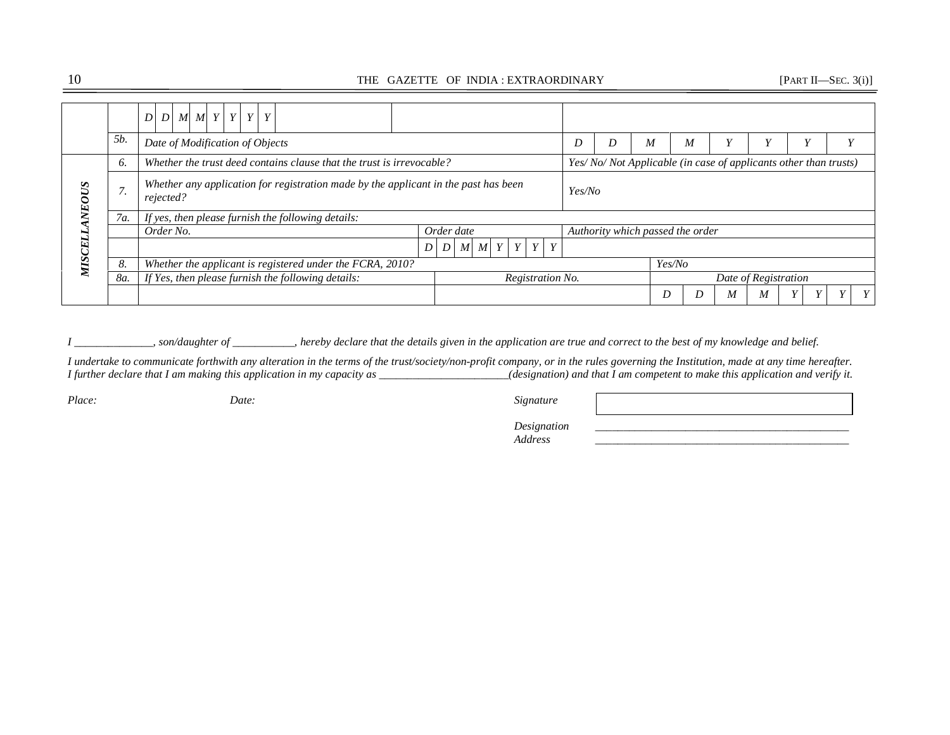# 10 THE GAZETTE OF INDIA : EXTRAORDINARY [PART II—SEC. 3(i)]

|        |             | $D$ $M$ $M$ $Y$ $Y$ $Y$<br>$\boldsymbol{D}$                                                      |                |                                         |  |  |        |  |                                  |        |                                                                 |                      |  |   |   |  |  |  |  |  |
|--------|-------------|--------------------------------------------------------------------------------------------------|----------------|-----------------------------------------|--|--|--------|--|----------------------------------|--------|-----------------------------------------------------------------|----------------------|--|---|---|--|--|--|--|--|
|        | <i>5b</i> . | Date of Modification of Objects                                                                  |                |                                         |  |  |        |  |                                  | D      | D                                                               | M                    |  | M |   |  |  |  |  |  |
|        | 6.          | Whether the trust deed contains clause that the trust is irrevocable?                            |                |                                         |  |  |        |  |                                  |        | Yes/No/Not Applicable (in case of applicants other than trusts) |                      |  |   |   |  |  |  |  |  |
| NEOUS  | $\sqrt{2}$  | Whether any application for registration made by the applicant in the past has been<br>rejected? |                |                                         |  |  | Yes/No |  |                                  |        |                                                                 |                      |  |   |   |  |  |  |  |  |
|        | 7a.         | If yes, then please furnish the following details:                                               |                |                                         |  |  |        |  |                                  |        |                                                                 |                      |  |   |   |  |  |  |  |  |
|        |             | Order No.                                                                                        | Order date     |                                         |  |  |        |  | Authority which passed the order |        |                                                                 |                      |  |   |   |  |  |  |  |  |
| MISCEL |             |                                                                                                  | D <sub>1</sub> | $M$ $M$ $Y$ $Y$ $Y$<br>$\boldsymbol{D}$ |  |  |        |  |                                  |        |                                                                 |                      |  |   |   |  |  |  |  |  |
|        | 8.          | Whether the applicant is registered under the FCRA, 2010?                                        |                |                                         |  |  |        |  |                                  | Yes/No |                                                                 |                      |  |   |   |  |  |  |  |  |
|        | 8a.         | If Yes, then please furnish the following details:                                               |                | Registration No.                        |  |  |        |  |                                  |        |                                                                 | Date of Registration |  |   |   |  |  |  |  |  |
|        |             |                                                                                                  |                |                                         |  |  |        |  |                                  |        |                                                                 | D                    |  | M | M |  |  |  |  |  |

*I \_\_\_\_\_\_\_\_\_\_\_\_\_\_, son/daughter of \_\_\_\_\_\_\_\_\_\_\_, hereby declare that the details given in the application are true and correct to the best of my knowledge and belief.* 

*I undertake to communicate forthwith any alteration in the terms of the trust/society/non-profit company, or in the rules governing the Institution, made at any time hereafter. I further declare that I am making this application in my capacity as \_\_\_\_\_\_\_\_\_\_\_\_\_\_\_\_\_\_\_\_\_\_\_\_(designation) and that I am competent to make this application and verify it.* 

*Place: Date: Signature* 

 *Designation \_\_\_\_\_\_\_\_\_\_\_\_\_\_\_\_\_\_\_\_\_\_\_\_\_\_\_\_\_\_\_\_\_\_\_\_\_\_\_\_\_\_\_\_\_ Address \_\_\_\_\_\_\_\_\_\_\_\_\_\_\_\_\_\_\_\_\_\_\_\_\_\_\_\_\_\_\_\_\_\_\_\_\_\_\_\_\_\_\_\_\_*